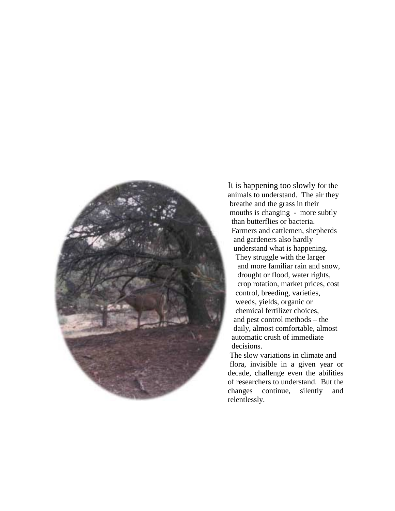

It is happening too slowly for the animals to understand. The air they breathe and the grass in their mouths is changing - more subtly than butterflies or bacteria. Farmers and cattlemen, shepherds and gardeners also hardly understand what is happening. They struggle with the larger and more familiar rain and snow, drought or flood, water rights, crop rotation, market prices, cost control, breeding, varieties, weeds, yields, organic or chemical fertilizer choices, and pest control methods – the daily, almost comfortable, almost automatic crush of immediate decisions.

 The slow variations in climate and flora, invisible in a given year or decade, challenge even the abilities of researchers to understand. But the changes continue, silently and relentlessly.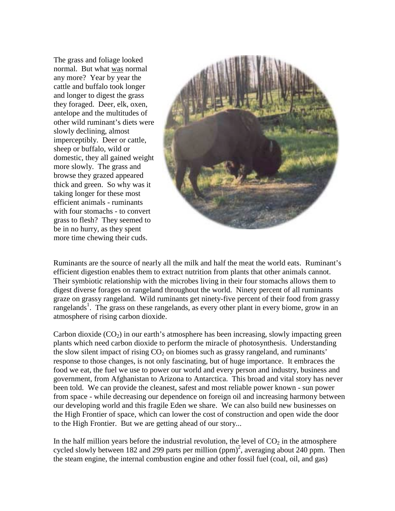The grass and foliage looked normal. But what was normal any more? Year by year the cattle and buffalo took longer and longer to digest the grass they foraged. Deer, elk, oxen, antelope and the multitudes of other wild ruminant's diets were slowly declining, almost imperceptibly. Deer or cattle, sheep or buffalo, wild or domestic, they all gained weight more slowly. The grass and browse they grazed appeared thick and green. So why was it taking longer for these most efficient animals - ruminants with four stomachs - to convert grass to flesh? They seemed to be in no hurry, as they spent more time chewing their cuds.



Ruminants are the source of nearly all the milk and half the meat the world eats. Ruminant's efficient digestion enables them to extract nutrition from plants that other animals cannot. Their symbiotic relationship with the microbes living in their four stomachs allows them to digest diverse forages on rangeland throughout the world. Ninety percent of all ruminants graze on grassy rangeland. Wild ruminants get ninety-five percent of their food from grassy rangelands<sup>[1](#page-11-0)</sup>. The grass on these rangelands, as every other plant in every biome, grow in an atmosphere of rising carbon dioxide.

Carbon dioxide  $(CO<sub>2</sub>)$  in our earth's atmosphere has been increasing, slowly impacting green plants which need carbon dioxide to perform the miracle of photosynthesis. Understanding the slow silent impact of rising  $CO<sub>2</sub>$  on biomes such as grassy rangeland, and ruminants' response to those changes, is not only fascinating, but of huge importance. It embraces the food we eat, the fuel we use to power our world and every person and industry, business and government, from Afghanistan to Arizona to Antarctica. This broad and vital story has never been told. We can provide the cleanest, safest and most reliable power known - sun power from space - while decreasing our dependence on foreign oil and increasing harmony between our developing world and this fragile Eden we share. We can also build new businesses on the High Frontier of space, which can lower the cost of construction and open wide the door to the High Frontier. But we are getting ahead of our story...

In the half million years before the industrial revolution, the level of  $CO<sub>2</sub>$  in the atmosphere cycled slowly between 18[2](#page-11-0) and 299 parts per million  $(ppm)^2$ , averaging about 240 ppm. Then the steam engine, the internal combustion engine and other fossil fuel (coal, oil, and gas)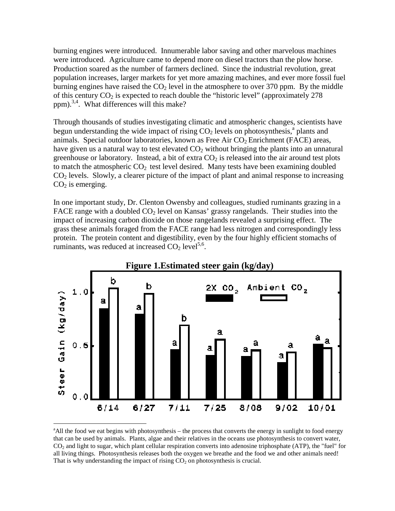burning engines were introduced. Innumerable labor saving and other marvelous machines were introduced. Agriculture came to depend more on diesel tractors than the plow horse. Production soared as the number of farmers declined. Since the industrial revolution, great population increases, larger markets for yet more amazing machines, and ever more fossil fuel burning engines have raised the  $CO<sub>2</sub>$  level in the atmosphere to over 370 ppm. By the middle of this century  $CO_2$  is expected to reach double the "historic level" (approximately 278) ppm).[3,4.](#page-11-0) What differences will this make?

Through thousands of studies investigating climatic and atmospheric changes, scientists have begun understanding the wide impact of rising  $CO<sub>2</sub>$  levels on photosynthesis,<sup>a</sup> plants and animals. Special outdoor laboratories, known as Free Air  $CO<sub>2</sub>$  Enrichment (FACE) areas, have given us a natural way to test elevated  $CO<sub>2</sub>$  without bringing the plants into an unnatural greenhouse or laboratory. Instead, a bit of extra  $CO<sub>2</sub>$  is released into the air around test plots to match the atmospheric  $CO<sub>2</sub>$  test level desired. Many tests have been examining doubled CO2 levels. Slowly, a clearer picture of the impact of plant and animal response to increasing  $CO<sub>2</sub>$  is emerging.

In one important study, Dr. Clenton Owensby and colleagues, studied ruminants grazing in a FACE range with a doubled  $CO<sub>2</sub>$  level on Kansas' grassy rangelands. Their studies into the impact of increasing carbon dioxide on those rangelands revealed a surprising effect. The grass these animals foraged from the FACE range had less nitrogen and correspondingly less protein. The protein content and digestibility, even by the four highly efficient stomachs of ruminants, was reduced at increased  $CO<sub>2</sub>$  level<sup>5,6</sup>.



<sup>&</sup>lt;sup>a</sup> All the food we eat begins with photosynthesis – the process that converts the energy in sunlight to food energy that can be used by animals. Plants, algae and their relatives in the oceans use photosynthesis to convert water, CO2 and light to sugar, which plant cellular respiration converts into adenosine triphosphate (ATP), the "fuel" for all living things. Photosynthesis releases both the oxygen we breathe and the food we and other animals need! That is why understanding the impact of rising  $CO<sub>2</sub>$  on photosynthesis is crucial.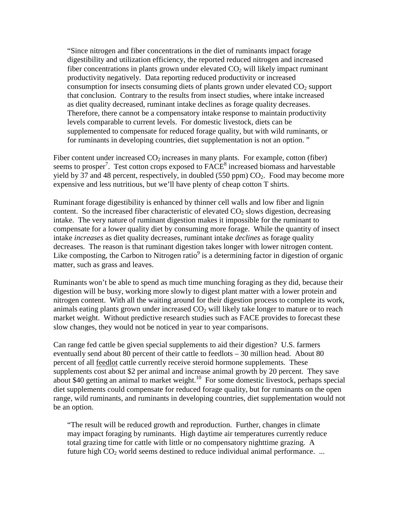"Since nitrogen and fiber concentrations in the diet of ruminants impact forage digestibility and utilization efficiency, the reported reduced nitrogen and increased fiber concentrations in plants grown under elevated  $CO<sub>2</sub>$  will likely impact ruminant productivity negatively. Data reporting reduced productivity or increased consumption for insects consuming diets of plants grown under elevated  $CO<sub>2</sub>$  support that conclusion. Contrary to the results from insect studies, where intake increased as diet quality decreased, ruminant intake declines as forage quality decreases. Therefore, there cannot be a compensatory intake response to maintain productivity levels comparable to current levels. For domestic livestock, diets can be supplemented to compensate for reduced forage quality, but with wild ruminants, or for ruminants in developing countries, diet supplementation is not an option. "

Fiber content under increased  $CO<sub>2</sub>$  increases in many plants. For example, cotton (fiber) seems to prosper<sup>[7](#page-11-0)</sup>. Test cotton crops exposed to  $\overline{FACE}^8$  $\overline{FACE}^8$  increased biomass and harvestable yield by 37 and 48 percent, respectively, in doubled (550 ppm)  $CO<sub>2</sub>$ . Food may become more expensive and less nutritious, but we'll have plenty of cheap cotton T shirts.

Ruminant forage digestibility is enhanced by thinner cell walls and low fiber and lignin content. So the increased fiber characteristic of elevated  $CO<sub>2</sub>$  slows digestion, decreasing intake. The very nature of ruminant digestion makes it impossible for the ruminant to compensate for a lower quality diet by consuming more forage. While the quantity of insect intake *increases* as diet quality decreases, ruminant intake *declines* as forage quality decreases. The reason is that ruminant digestion takes longer with lower nitrogen content. Like composting, the Carbon to Nitrogen ratio $9$  is a determining factor in digestion of organic matter, such as grass and leaves.

Ruminants won't be able to spend as much time munching foraging as they did, because their digestion will be busy, working more slowly to digest plant matter with a lower protein and nitrogen content. With all the waiting around for their digestion process to complete its work, animals eating plants grown under increased  $CO<sub>2</sub>$  will likely take longer to mature or to reach market weight. Without predictive research studies such as FACE provides to forecast these slow changes, they would not be noticed in year to year comparisons.

Can range fed cattle be given special supplements to aid their digestion? U.S. farmers eventually send about 80 percent of their cattle to feedlots – 30 million head. About 80 percent of all feedlot cattle currently receive steroid hormone supplements. These supplements cost about \$2 per animal and increase animal growth by 20 percent. They save about \$40 getting an animal to market weight.<sup>10</sup> For some domestic livestock, perhaps special diet supplements could compensate for reduced forage quality, but for ruminants on the open range, wild ruminants, and ruminants in developing countries, diet supplementation would not be an option.

"The result will be reduced growth and reproduction. Further, changes in climate may impact foraging by ruminants. High daytime air temperatures currently reduce total grazing time for cattle with little or no compensatory nighttime grazing. A future high  $CO<sub>2</sub>$  world seems destined to reduce individual animal performance. ...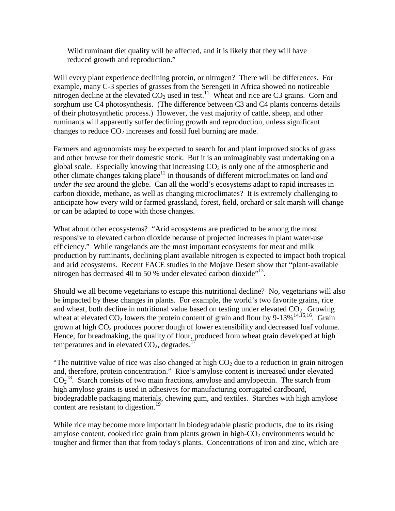Wild ruminant diet quality will be affected, and it is likely that they will have reduced growth and reproduction."

Will every plant experience declining protein, or nitrogen? There will be differences. For example, many C-3 species of grasses from the Serengeti in Africa showed no noticeable nitrogen decline at the elevated  $CO<sub>2</sub>$  used in test.<sup>11</sup> Wheat and rice are C3 grains. Corn and sorghum use C4 photosynthesis. (The difference between C3 and C4 plants concerns details of their photosynthetic process.) However, the vast majority of cattle, sheep, and other ruminants will apparently suffer declining growth and reproduction, unless significant changes to reduce  $CO<sub>2</sub>$  increases and fossil fuel burning are made.

Farmers and agronomists may be expected to search for and plant improved stocks of grass and other browse for their domestic stock. But it is an unimaginably vast undertaking on a global scale. Especially knowing that increasing  $CO<sub>2</sub>$  is only one of the atmospheric and other climate changes taking place<sup>12</sup> in thousands of different microclimates on land *and under the sea* around the globe. Can all the world's ecosystems adapt to rapid increases in carbon dioxide, methane, as well as changing microclimates? It is extremely challenging to anticipate how every wild or farmed grassland, forest, field, orchard or salt marsh will change or can be adapted to cope with those changes.

What about other ecosystems? "Arid ecosystems are predicted to be among the most responsive to elevated carbon dioxide because of projected increases in plant water-use efficiency." While rangelands are the most important ecosystems for meat and milk production by ruminants, declining plant available nitrogen is expected to impact both tropical and arid ecosystems. Recent FACE studies in the Mojave Desert show that "plant-available nitrogen has decreased 40 to 50  $\%$  under elevated carbon dioxide"<sup>13</sup>.

Should we all become vegetarians to escape this nutritional decline? No, vegetarians will also be impacted by these changes in plants. For example, the world's two favorite grains, rice and wheat, both decline in nutritional value based on testing under elevated  $CO<sub>2</sub>$ . Growing wheat at elevated  $CO_2$  lowers the protein content of grain and flour by 9-13%<sup>14,15,16</sup>. Grain grown at high  $CO<sub>2</sub>$  produces poorer dough of lower extensibility and decreased loaf volume. Hence, for breadmaking, the quality of flour, produced from wheat grain developed at high temperatures and in elevated  $CO<sub>2</sub>$ , degrades.<sup>1</sup>

"The nutritive value of rice was also changed at high  $CO<sub>2</sub>$  due to a reduction in grain nitrogen and, therefore, protein concentration." Rice's amylose content is increased under elevated  $CO<sub>2</sub><sup>18</sup>$ . Starch consists of two main fractions, amylose and amylopectin. The starch from high amylose grains is used in adhesives for manufacturing corrugated cardboard, biodegradable packaging materials, chewing gum, and textiles. Starches with high amylose content are resistant to digestion.<sup>[19](#page-11-0)</sup>

While rice may become more important in biodegradable plastic products, due to its rising amylose content, cooked rice grain from plants grown in high- $CO<sub>2</sub>$  environments would be tougher and firmer than that from today's plants. Concentrations of iron and zinc, which are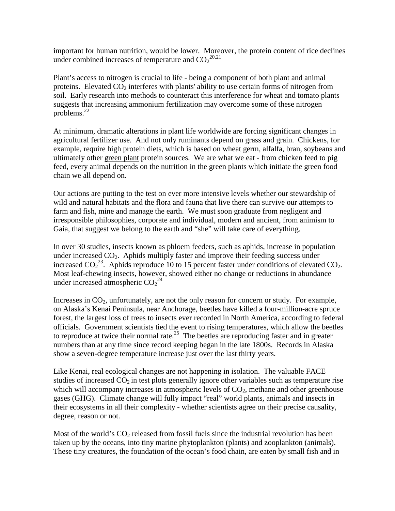important for human nutrition, would be lower. Moreover, the protein content of rice declines under combined increases of temperature and  $CO<sub>2</sub><sup>20,21</sup>$  $CO<sub>2</sub><sup>20,21</sup>$  $CO<sub>2</sub><sup>20,21</sup>$ 

Plant's access to nitrogen is crucial to life - being a component of both plant and animal proteins. Elevated  $CO<sub>2</sub>$  interferes with plants' ability to use certain forms of nitrogen from soil. Early research into methods to counteract this interference for wheat and tomato plants suggests that increasing ammonium fertilization may overcome some of these nitrogen problems. $^{22}$  $^{22}$  $^{22}$ 

At minimum, dramatic alterations in plant life worldwide are forcing significant changes in agricultural fertilizer use. And not only ruminants depend on grass and grain. Chickens, for example, require high protein diets, which is based on wheat germ, alfalfa, bran, soybeans and ultimately other green plant protein sources. We are what we eat - from chicken feed to pig feed, every animal depends on the nutrition in the green plants which initiate the green food chain we all depend on.

Our actions are putting to the test on ever more intensive levels whether our stewardship of wild and natural habitats and the flora and fauna that live there can survive our attempts to farm and fish, mine and manage the earth. We must soon graduate from negligent and irresponsible philosophies, corporate and individual, modern and ancient, from animism to Gaia, that suggest we belong to the earth and "she" will take care of everything.

In over 30 studies, insects known as phloem feeders, such as aphids, increase in population under increased  $CO<sub>2</sub>$ . Aphids multiply faster and improve their feeding success under increased  $CO_2^{23}$ . Aphids reproduce 10 to 15 percent faster under conditions of elevated CO<sub>2</sub>. Most leaf-chewing insects, however, showed either no change or reductions in abundance under increased atmospheric  $CO_2^2$ <sup>4</sup>

Increases in  $CO<sub>2</sub>$ , unfortunately, are not the only reason for concern or study. For example, on Alaska's Kenai Peninsula, near Anchorage, beetles have killed a four-million-acre spruce forest, the largest loss of trees to insects ever recorded in North America, according to federal officials. Government scientists tied the event to rising temperatures, which allow the beetles to reproduce at twice their normal rate.<sup>25</sup> The beetles are reproducing faster and in greater numbers than at any time since record keeping began in the late 1800s. Records in Alaska show a seven-degree temperature increase just over the last thirty years.

Like Kenai, real ecological changes are not happening in isolation. The valuable FACE studies of increased  $CO<sub>2</sub>$  in test plots generally ignore other variables such as temperature rise which will accompany increases in atmospheric levels of  $CO<sub>2</sub>$ , methane and other greenhouse gases (GHG). Climate change will fully impact "real" world plants, animals and insects in their ecosystems in all their complexity - whether scientists agree on their precise causality, degree, reason or not.

Most of the world's  $CO<sub>2</sub>$  released from fossil fuels since the industrial revolution has been taken up by the oceans, into tiny marine phytoplankton (plants) and zooplankton (animals). These tiny creatures, the foundation of the ocean's food chain, are eaten by small fish and in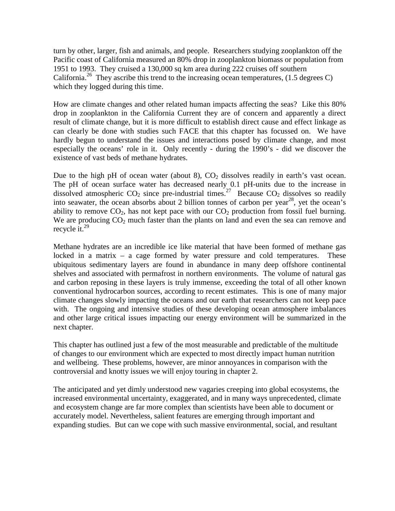turn by other, larger, fish and animals, and people. Researchers studying zooplankton off the Pacific coast of California measured an 80% drop in zooplankton biomass or population from 1951 to 1993. They cruised a 130,000 sq km area during 222 cruises off southern California.<sup>26</sup> They ascribe this trend to the increasing ocean temperatures,  $(1.5$  degrees C) which they logged during this time.

How are climate changes and other related human impacts affecting the seas? Like this 80% drop in zooplankton in the California Current they are of concern and apparently a direct result of climate change, but it is more difficult to establish direct cause and effect linkage as can clearly be done with studies such FACE that this chapter has focussed on. We have hardly begun to understand the issues and interactions posed by climate change, and most especially the oceans' role in it. Only recently - during the 1990's - did we discover the existence of vast beds of methane hydrates.

Due to the high pH of ocean water (about 8),  $CO<sub>2</sub>$  dissolves readily in earth's vast ocean. The pH of ocean surface water has decreased nearly 0.1 pH-units due to the increase in dissolved atmospheric  $CO_2$  since pre-industrial times.<sup>27</sup> Because  $CO_2$  dissolves so readily into seawater, the ocean absorbs about 2 billion tonnes of carbon per year<sup>28</sup>, yet the ocean's ability to remove  $CO_2$ , has not kept pace with our  $CO_2$  production from fossil fuel burning. We are producing  $CO<sub>2</sub>$  much faster than the plants on land and even the sea can remove and recycle it.<sup>[29](#page-11-0)</sup>

Methane hydrates are an incredible ice like material that have been formed of methane gas locked in a matrix – a cage formed by water pressure and cold temperatures. These ubiquitous sedimentary layers are found in abundance in many deep offshore continental shelves and associated with permafrost in northern environments. The volume of natural gas and carbon reposing in these layers is truly immense, exceeding the total of all other known conventional hydrocarbon sources, according to recent estimates. This is one of many major climate changes slowly impacting the oceans and our earth that researchers can not keep pace with. The ongoing and intensive studies of these developing ocean atmosphere imbalances and other large critical issues impacting our energy environment will be summarized in the next chapter.

This chapter has outlined just a few of the most measurable and predictable of the multitude of changes to our environment which are expected to most directly impact human nutrition and wellbeing. These problems, however, are minor annoyances in comparison with the controversial and knotty issues we will enjoy touring in chapter 2.

The anticipated and yet dimly understood new vagaries creeping into global ecosystems, the increased environmental uncertainty, exaggerated, and in many ways unprecedented, climate and ecosystem change are far more complex than scientists have been able to document or accurately model. Nevertheless, salient features are emerging through important and expanding studies. But can we cope with such massive environmental, social, and resultant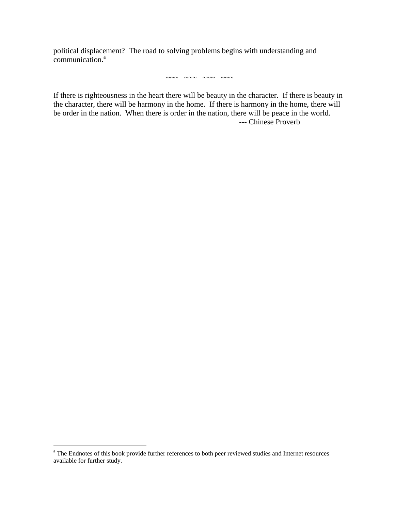political displacement? The road to solving problems begins with understanding and  $commu$ nication.<sup>a</sup>

 $\sim\sim\sim$   $\sim\sim\sim$   $\sim\sim\sim$   $\sim\sim$   $\sim$ 

If there is righteousness in the heart there will be beauty in the character. If there is beauty in the character, there will be harmony in the home. If there is harmony in the home, there will be order in the nation. When there is order in the nation, there will be peace in the world. --- Chinese Proverb

<sup>&</sup>lt;sup>a</sup> The Endnotes of this book provide further references to both peer reviewed studies and Internet resources available for further study.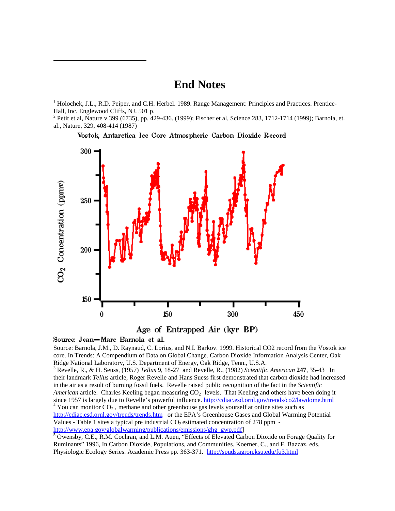## **End Notes**

<sup>1</sup> Holochek, J.L., R.D. Peiper, and C.H. Herbel. 1989. Range Management: Principles and Practices. Prentice-Hall, Inc. Englewood Cliffs, NJ. 501 p.

<sup>2</sup> Petit et al, Nature v.399 (6735), pp. 429-436. (1999); Fischer et al, Science 283, 1712-1714 (1999); Barnola, et. al., Nature, 329, 408-414 (1987)

Vostok, Antarctica Ice Core Atmospheric Carbon Dioxide Record



Age of Entrapped Air (kyr BP)

## Source: Jean-Marc Barnola et al.

 $\overline{a}$ 

Source: Barnola, J.M., D. Raynaud, C. Lorius, and N.I. Barkov. 1999. Historical CO2 record from the Vostok ice core. In Trends: A Compendium of Data on Global Change. Carbon Dioxide Information Analysis Center, Oak Ridge National Laboratory, U.S. Department of Energy, Oak Ridge, Tenn., U.S.A.

3 Revelle, R., & H. Seuss, (1957) *Tellus* **9**, 18-27 and Revelle, R., (1982) *Scientific American* **247**, 35-43 In their landmark *Tellus* article, Roger Revelle and Hans Suess first demonstrated that carbon dioxide had increased in the air as a result of burning fossil fuels. Revelle raised public recognition of the fact in the *Scientific American* article. Charles Keeling began measuring CO<sub>2</sub> levels. That Keeling and others have been doing it since 1957 is largely due to Revelle's powerful influence. http://cdiac.esd.ornl.gov/trends/co2/lawdome.html <sup>4</sup> You can monitor  $CO<sub>2</sub>$ , methane and other greenhouse gas levels yourself at online sites such as http://cdiac.esd.ornl.gov/trends/trends.htm or the EPA's Greenhouse Gases and Global Warming Potential Values - Table 1 sites a typical pre industrial  $CO<sub>2</sub>$  estimated concentration of 278 ppm http://www.epa.gov/globalwarming/publications/emissions/ghg\_gwp.pdf] <sup>5</sup>

<sup>5</sup> Owensby, C.E., R.M. Cochran, and L.M. Auen, "Effects of Elevated Carbon Dioxide on Forage Quality for Ruminants" 1996, In Carbon Dioxide, Populations, and Communities. Koerner, C., and F. Bazzaz, eds. Physiologic Ecology Series. Academic Press pp. 363-371. http://spuds.agron.ksu.edu/fq3.html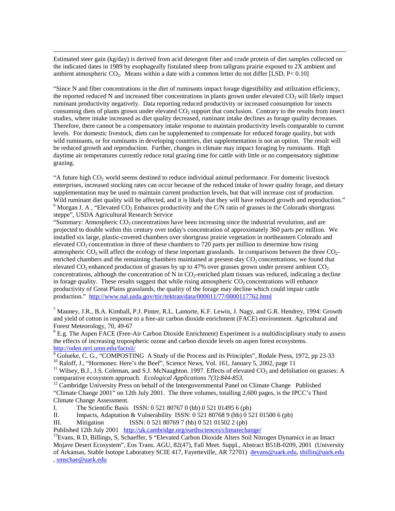Estimated steer gain (kg/day) is derived from acid detergent fiber and crude protein of diet samples collected on the indicated dates in 1989 by esophageally fistulated sheep from tallgrass prairie exposed to 2X ambient and ambient atmospheric  $CO<sub>2</sub>$ . Means within a date with a common letter do not differ [LSD, P< 0.10]

<u>.</u>

"Since N and fiber concentrations in the diet of ruminants impact forage digestibility and utilization efficiency, the reported reduced N and increased fiber concentrations in plants grown under elevated  $CO<sub>2</sub>$  will likely impact ruminant productivity negatively. Data reporting reduced productivity or increased consumption for insects consuming diets of plants grown under elevated  $CO<sub>2</sub>$  support that conclusion. Contrary to the results from insect studies, where intake increased as diet quality decreased, ruminant intake declines as forage quality decreases. Therefore, there cannot be a compensatory intake response to maintain productivity levels comparable to current levels. For domestic livestock, diets can be supplemented to compensate for reduced forage quality, but with wild ruminants, or for ruminants in developing countries, diet supplementation is not an option. The result will be reduced growth and reproduction. Further, changes in climate may impact foraging by ruminants. High daytime air temperatures currently reduce total grazing time for cattle with little or no compensatory nighttime grazing.

"A future high  $CO<sub>2</sub>$  world seems destined to reduce individual animal performance. For domestic livestock enterprises, increased stocking rates can occur because of the reduced intake of lower quality forage, and dietary supplementation may be used to maintain current production levels, but that will increase cost of production. Wild ruminant diet quality will be affected, and it is likely that they will have reduced growth and reproduction."  $<sup>6</sup>$  Morgan J. A , "Elevated CO<sub>2</sub> Enhances productivity and the C/N ratio of grasses in the Colorado shortgrass</sup> steppe", USDA Agricultural Research Service

"Summary: Atmospheric  $CO<sub>2</sub>$  concentrations have been increasing since the industrial revolution, and are projected to double within this century over today's concentration of approximately 360 parts per million. We installed six large, plastic-covered chambers over shortgrass prairie vegetation in northeastern Colorado and elevated CO2 concentration in three of these chambers to 720 parts per million to determine how rising atmospheric CO<sub>2</sub> will affect the ecology of these important grasslands. In comparisons between the three  $CO<sub>2</sub>$ enriched chambers and the remaining chambers maintained at present-day  $CO<sub>2</sub>$  concentrations, we found that elevated  $CO<sub>2</sub>$  enhanced production of grasses by up to 47% over grasses grown under present ambient  $CO<sub>2</sub>$ concentrations, although the concentration of N in  $CO<sub>2</sub>$ -enriched plant tissues was reduced, indicating a decline in forage quality. These results suggest that while rising atmospheric  $CO<sub>2</sub>$  concentrations will enhance productivity of Great Plains grasslands, the quality of the forage may decline which could impair cattle production." http://www.nal.usda.gov/ttic/tektran/data/000011/77/0000117762.html

<sup>7</sup> Mauney, J.R., B.A. Kimball, P.J. Pinter, R.L. Lamorte, K.F. Lewin, J. Nagy, and G.R. Hendrey, 1994: Growth and yield of cotton in response to a free-air carbon dioxide enrichment (FACE) environment. Agricultural and Forest Meteorology, 70, 49-67

<sup>8</sup> E.g. The Aspen FACE (Free-Air Carbon Dioxide Enrichment) Experiment is a multidisciplinary study to assess the effects of increasing tropospheric ozone and carbon dioxide levels on aspen forest ecosystems. http://oden.nrri.umn.edu/factsii/

<sup>9</sup> Golueke, C. G., "COMPOSTING A Study of the Process and its Principles", Rodale Press, 1972, pp 23-33  $10$  Raloff, J., "Hormones: Here's the Beef", Science News, Vol. 161, January 5, 2002, page 11

<sup>11</sup> Wilsey, B.J., J.S. Coleman, and S.J. McNaughton. 1997. Effects of elevated  $CO_2$  and defoliation on grasses: A comparative ecosystem approach. *Ecological Applications* 7(3):844-853.

<sup>12</sup> Cambridge University Press on behalf of the Intergovernmental Panel on Climate Change Published "Climate Change 2001" on 12th July 2001. The three volumes, totalling 2,600 pages, is the IPCC's Third Climate Change Assessment.

I. The Scientific Basis ISSN: 0 521 80767 0 (hb) 0 521 01495 6 (pb)

II. Impacts, Adaptation & Vulnerability ISSN: 0 521 80768 9 (hb) 0 521 01500 6 (pb)

III. Mitigation ISSN: 0 521 80769 7 (hb) 0 521 01502 2 (pb)

Published 12th July 2001 http://uk.cambridge.org/earthsciences/climatechange/<br><sup>13</sup>Evans, R D, Billings, S, Schaeffer, S "Elevated Carbon Dioxide Alters Soil Nitrogen Dynamics in an Intact Mojave Desert Ecosystem", Eos Trans. AGU, 82(47), Fall Meet. Suppl., Abstract B51B-0209, 2001 (University of Arkansas, Stable Isotope Laboratory SCIE 417, Fayetteville, AR 72701) devans@uark.edu, sbillin@uark.edu , smschae@uark.edu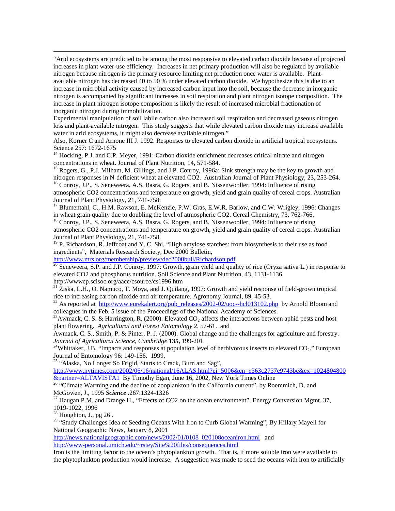"Arid ecosystems are predicted to be among the most responsive to elevated carbon dioxide because of projected increases in plant water-use efficiency. Increases in net primary production will also be regulated by available nitrogen because nitrogen is the primary resource limiting net production once water is available. Plantavailable nitrogen has decreased 40 to 50 % under elevated carbon dioxide. We hypothesize this is due to an increase in microbial activity caused by increased carbon input into the soil, because the decrease in inorganic nitrogen is accompanied by significant increases in soil respiration and plant nitrogen isotope composition. The increase in plant nitrogen isotope composition is likely the result of increased microbial fractionation of inorganic nitrogen during immobilization.

Experimental manipulation of soil labile carbon also increased soil respiration and decreased gaseous nitrogen loss and plant-available nitrogen. This study suggests that while elevated carbon dioxide may increase available water in arid ecosystems, it might also decrease available nitrogen."

Also, Korner C and Arnone III J. 1992. Responses to elevated carbon dioxide in artificial tropical ecosystems. Science 257: 1672-1675

 $14$  Hocking, P.J. and C.P. Meyer, 1991: Carbon dioxide enrichment decreases critical nitrate and nitrogen concentrations in wheat. Journal of Plant Nutrition, 14, 571-584.

<sup>15</sup> Rogers, G., P.J. Milham, M. Gillings, and J.P. Conroy, 1996a: Sink strength may be the key to growth and nitrogen responses in N-deficient wheat at elevated CO2. Australian Journal of Plant Physiology, 23, 253-264.

<sup>16</sup> Conroy, J.P., S. Seneweera, A.S. Basra, G. Rogers, and B. Nissenwooller, 1994: Influence of rising atmospheric CO2 concentrations and temperature on growth, yield and grain quality of cereal crops. Australian Journal of Plant Physiology, 21, 741-758.

<sup>17</sup> Blumentahl, C., H.M. Rawson, E. McKenzie, P.W. Gras, E.W.R. Barlow, and C.W. Wrigley, 1996: Changes in wheat grain quality due to doubling the level of atmospheric CO2. Cereal Chemistry, 73, 762-766.

<sup>18</sup> Conroy, J.P., S. Seneweera, A.S. Basra, G. Rogers, and B. Nissenwooller, 1994: Influence of rising atmospheric CO2 concentrations and temperature on growth, yield and grain quality of cereal crops. Australian Journal of Plant Physiology, 21, 741-758.

<sup>19</sup> P. Richardson, R. Jeffcoat and Y. C. Shi, "High amylose starches: from biosynthesis to their use as food ingredients", Materials Research Society, Dec 2000 Bulletin,

http://www.mrs.org/membership/preview/dec2000bull/Richardson.pdf

 $^{20}$  Seneweera, S.P. and J.P. Conroy, 1997: Growth, grain yield and quality of rice (Oryza sativa L.) in response to elevated CO2 and phosphorus nutrition. Soil Science and Plant Nutrition, 43, 1131-1136. http://wwwcp.scisoc.org/aacc/csource/cs1996.htm

 $21$  Ziska, L.H., O. Namuco, T. Moya, and J. Quilang, 1997: Growth and yield response of field-grown tropical rice to increasing carbon dioxide and air temperature. Agronomy Journal, 89, 45-53.

<sup>22</sup> As reported at http://www.eurekalert.org/pub\_releases/2002-02/uoc--hcl013102.php by Arnold Bloom and colleagues in the Feb. 5 issue of the Proceedings of the National Academy of Sciences.

<sup>23</sup>Awmack, C. S. & Harrington, R. (2000). Elevated CO<sub>2</sub> affects the interactions between aphid pests and host plant flowering. *Agricultural and Forest Entomology* 2, 57-61. and

Awmack, C. S., Smith, P. & Pinter, P. J. (2000). Global change and the challenges for agriculture and forestry. *Journal of Agricultural Science, Cambridge* **135,** 199-201.<br><sup>24</sup>Whittaker, J.B. "Impacts and responses at population level of herbivorous insects to elevated CO<sub>2</sub>." European

Journal of Entomology 96: 149-156. 1999.

<sup>25</sup> "Alaska, No Longer So Frigid, Starts to Crack, Burn and Sag",

http://www.nytimes.com/2002/06/16/national/16ALAS.html?ei=5006&en=e363c2737e9743be&ex=1024804800

&partner=ALTAVISTA1 By Timothy Egan, June 16, 2002, New York Times Online 26 "Climate Warming and the decline of zooplankton in the California current", by Roemmich, D. and McGowen, J., 1995 *Science* .267:1324-1326<br><sup>27</sup> Haugan P.M. and Drange H., "Effects of CO2 on the ocean environment", Energy Conversion Mgmt. 37,

1019-1022, 1996

 $28$  Houghton, J., pg 26.

<u>.</u>

<sup>29</sup> "Study Challenges Idea of Seeding Oceans With Iron to Curb Global Warming", By Hillary Mayell for National Geographic News, January 8, 2001

http://news.nationalgeographic.com/news/2002/01/0108\_020108oceaniron.html and http://www-personal.umich.edu/~rstey/Site%20files/consequences.html

Iron is the limiting factor to the ocean's phytoplankton growth. That is, if more soluble iron were available to the phytoplankton production would increase. A suggestion was made to seed the oceans with iron to artificially